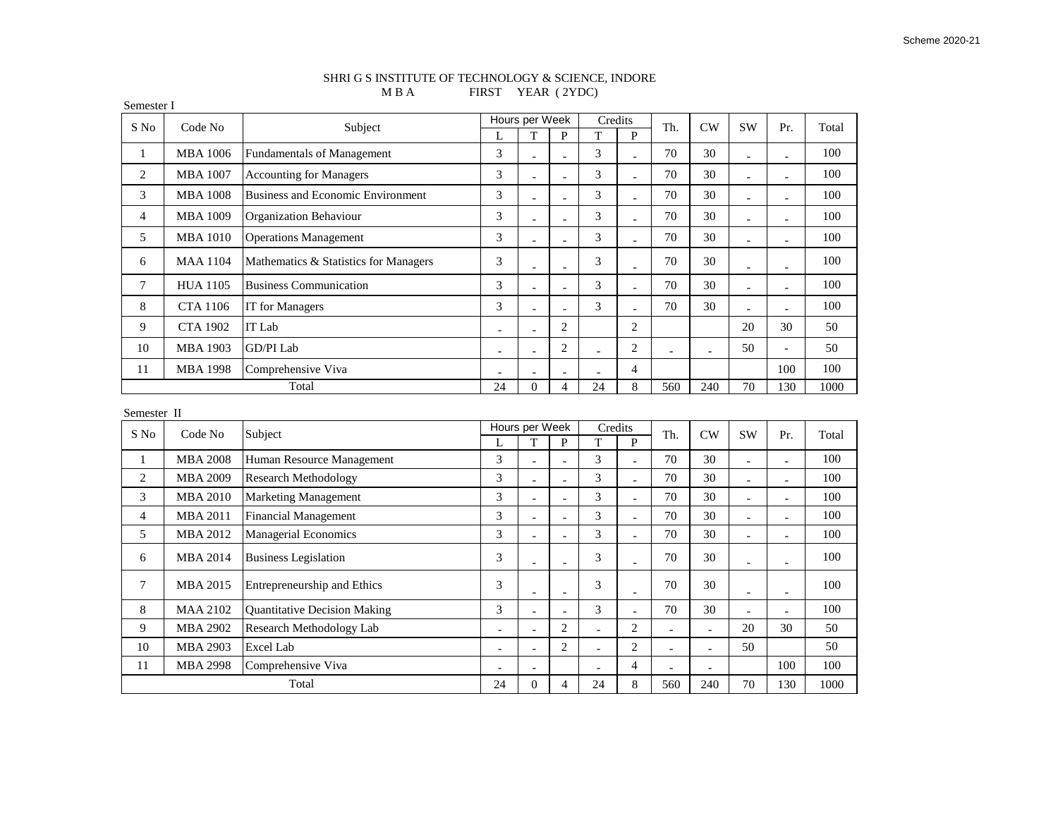## SHRI G S INSTITUTE OF TECHNOLOGY & SCIENCE, INDORE M B A FIRST YEAR (2YDC)

Semester I

| S No            | Code No         | Subject                                  |                          | Hours per Week           | Credits        |                          | Th.                      | CW                       | <b>SW</b>                | Pr.                      | Total                        |       |
|-----------------|-----------------|------------------------------------------|--------------------------|--------------------------|----------------|--------------------------|--------------------------|--------------------------|--------------------------|--------------------------|------------------------------|-------|
|                 |                 |                                          | L                        | T                        | P              | T                        | $\mathbf{P}$             |                          |                          |                          |                              |       |
| $\mathbf{1}$    | <b>MBA 1006</b> | <b>Fundamentals of Management</b>        | 3                        | $\overline{a}$           | $\overline{a}$ | 3                        | $\overline{\phantom{a}}$ | 70                       | 30                       | $\overline{\phantom{a}}$ | $\overline{a}$               | 100   |
| $\mathfrak{2}$  | <b>MBA 1007</b> | Accounting for Managers                  | $\mathfrak{Z}$           |                          | $\overline{a}$ | 3                        | $\blacksquare$           | 70                       | 30                       | $\overline{a}$           | $\overline{a}$               | 100   |
| 3               | <b>MBA 1008</b> | <b>Business and Economic Environment</b> | 3                        | $\overline{a}$           | $\overline{a}$ | 3                        | $\overline{a}$           | 70                       | 30                       | $\overline{\phantom{a}}$ | $\overline{a}$               | 100   |
| $\overline{4}$  | <b>MBA 1009</b> | Organization Behaviour                   | 3                        | $\overline{a}$           | $\overline{a}$ | 3                        | $\bar{a}$                | 70                       | 30                       | $\overline{a}$           | $\overline{a}$               | 100   |
| 5               | <b>MBA 1010</b> | <b>Operations Management</b>             | 3                        |                          | $\overline{a}$ | 3                        | $\bar{a}$                | 70                       | 30                       |                          | $\overline{a}$               | 100   |
| 6               | <b>MAA 1104</b> | Mathematics & Statistics for Managers    | 3                        |                          | L,             | 3                        | $\overline{a}$           | 70                       | 30                       |                          | $\overline{a}$               | 100   |
| $\tau$          | <b>HUA 1105</b> | <b>Business Communication</b>            | 3                        | $\overline{a}$           | $\overline{a}$ | 3                        | $\overline{\phantom{a}}$ | 70                       | 30                       | $\overline{\phantom{a}}$ | $\overline{a}$               | 100   |
| $\,$ 8 $\,$     | <b>CTA 1106</b> | IT for Managers                          | 3                        |                          |                | 3                        | $\overline{a}$           | 70                       | 30                       | Ĭ.                       | $\sim$                       | 100   |
| 9               | <b>CTA 1902</b> | IT Lab                                   | $\overline{a}$           | $\overline{a}$           | $\overline{2}$ |                          | $\overline{2}$           |                          |                          | 20                       | 30                           | 50    |
| 10              | <b>MBA 1903</b> | GD/PI Lab                                | $\overline{a}$           |                          | $\overline{c}$ | $\overline{a}$           | $\overline{c}$           |                          | $\overline{a}$           | 50                       | $\overline{a}$               | 50    |
| 11              | <b>MBA 1998</b> | Comprehensive Viva                       |                          |                          |                | $\overline{a}$           | $\overline{4}$           |                          |                          |                          | 100                          | 100   |
| Total           |                 | 24                                       | $\overline{0}$           | $\overline{4}$           | 24             | 8                        | 560                      | 240                      | 70                       | 130                      | 1000                         |       |
| Semester II     |                 |                                          |                          |                          |                |                          |                          |                          |                          |                          |                              |       |
| Code No<br>S No |                 | Subject                                  |                          | Hours per Week           |                | Credits                  |                          | Th.                      | <b>CW</b>                | <b>SW</b>                | Pr.                          | Total |
|                 |                 |                                          | L                        | T                        | $\mathbf{p}$   | T                        | $\mathbf{P}$             |                          |                          |                          |                              |       |
| 1               | <b>MBA 2008</b> | Human Resource Management                | 3                        | $\overline{a}$           | $\overline{a}$ | $\overline{3}$           | $\overline{a}$           | 70                       | 30                       | $\overline{a}$           | $\qquad \qquad \blacksquare$ | 100   |
| $\mathfrak{2}$  | <b>MBA 2009</b> | <b>Research Methodology</b>              | 3                        | $\equiv$                 | $\overline{a}$ | 3                        | $\overline{a}$           | 70                       | 30                       | ÷,                       | $\overline{a}$               | 100   |
| 3               | <b>MBA 2010</b> | <b>Marketing Management</b>              | 3                        | $\overline{a}$           | L,             | 3                        | $\overline{a}$           | 70                       | 30                       |                          | $\overline{a}$               | 100   |
| $\overline{4}$  | <b>MBA 2011</b> | <b>Financial Management</b>              | 3                        | $\bar{a}$                | $\overline{a}$ | 3                        | $\bar{\phantom{a}}$      | 70                       | 30                       | $\overline{a}$           | $\overline{\phantom{a}}$     | 100   |
| 5               | <b>MBA 2012</b> | <b>Managerial Economics</b>              | 3                        | $\equiv$                 | $\overline{a}$ | 3                        | $\overline{a}$           | 70                       | 30                       | $\overline{\phantom{a}}$ | $\overline{a}$               | 100   |
| 6               | <b>MBA 2014</b> | <b>Business Legislation</b>              | 3                        | $\overline{a}$           | $\overline{a}$ | 3                        | $\overline{\phantom{a}}$ | 70                       | 30                       | $\overline{\phantom{a}}$ | $\qquad \qquad \blacksquare$ | 100   |
| $\tau$          | <b>MBA 2015</b> | Entrepreneurship and Ethics              | 3                        |                          | L,             | 3                        | $\overline{a}$           | 70                       | 30                       |                          | $\overline{a}$               | 100   |
| $\,$ 8 $\,$     | <b>MAA 2102</b> | <b>Quantitative Decision Making</b>      | 3                        | $\overline{\phantom{a}}$ | $\overline{a}$ | 3                        | $\blacksquare$           | 70                       | 30                       | $\overline{a}$           | $\blacksquare$               | 100   |
| 9               | <b>MBA 2902</b> | Research Methodology Lab                 | ÷,                       |                          | $\overline{2}$ | $\overline{a}$           | $\overline{c}$           |                          | $\overline{a}$           | 20                       | 30                           | 50    |
| 10              | <b>MBA 2903</b> | Excel Lab                                | $\overline{\phantom{a}}$ | $\overline{a}$           | $\overline{2}$ | $\overline{a}$           | $\overline{c}$           | $\overline{\phantom{a}}$ | $\overline{\phantom{a}}$ | 50                       |                              | 50    |
| 11              | <b>MBA 2998</b> | Comprehensive Viva                       | $\overline{\phantom{a}}$ | $\overline{\phantom{a}}$ |                | $\overline{\phantom{a}}$ | $\overline{4}$           |                          | $\overline{\phantom{a}}$ |                          | 100                          | 100   |
| Total           |                 | 24                                       | $\overline{0}$           | $\overline{4}$           | 24             | 8                        | 560                      | 240                      | 70                       | 130                      | 1000                         |       |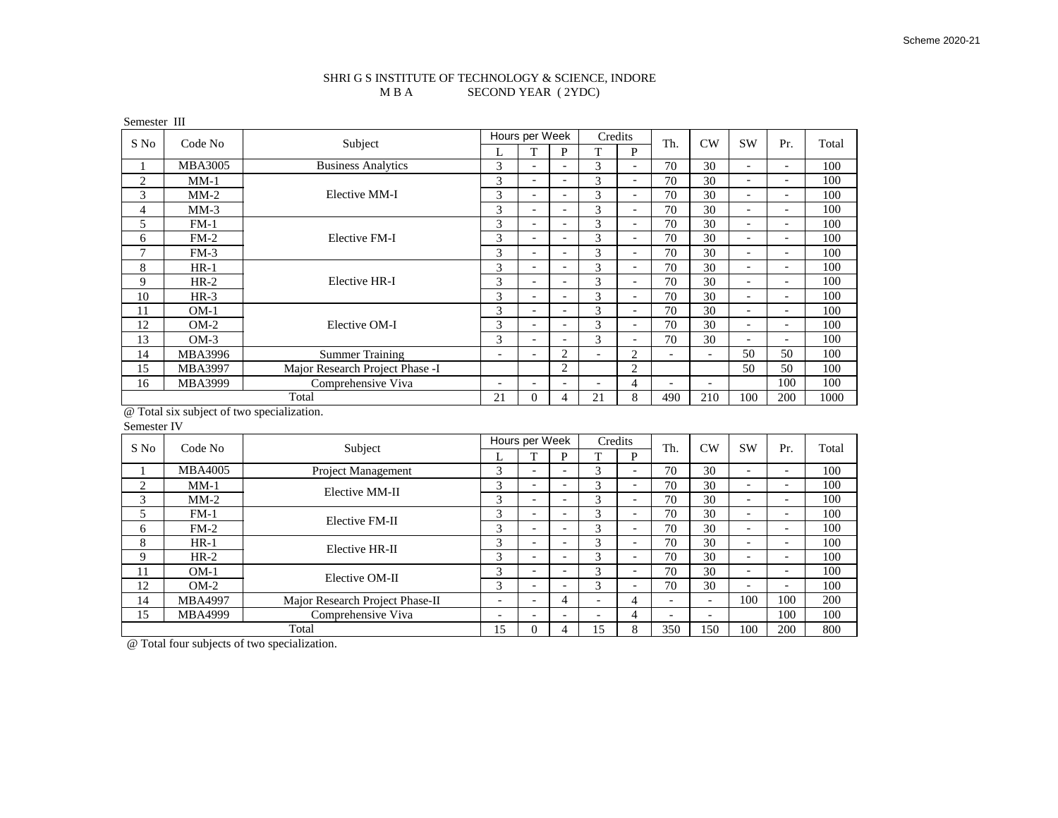## SHRI G S INSTITUTE OF TECHNOLOGY & SCIENCE, INDORE M B A SECOND YEAR (2YDC) SECOND YEAR (2YDC)

Semester III

| S No         | Code No        | Subject                         | Hours per Week           |                          | Credits                  |                          | Th.                          | CW                       | <b>SW</b>                | Pr.                      | Total                    |      |
|--------------|----------------|---------------------------------|--------------------------|--------------------------|--------------------------|--------------------------|------------------------------|--------------------------|--------------------------|--------------------------|--------------------------|------|
|              |                |                                 | L                        | T                        | P                        | T                        | P                            |                          |                          |                          |                          |      |
|              | <b>MBA3005</b> | <b>Business Analytics</b>       | 3                        | -                        | $\overline{\phantom{a}}$ | 3                        | $\overline{\phantom{a}}$     | 70                       | 30                       | $\overline{\phantom{0}}$ | $\overline{\phantom{a}}$ | 100  |
| $\mathbf{2}$ | $MM-1$         |                                 | 3                        | $\overline{\phantom{0}}$ | $\overline{\phantom{a}}$ | 3                        | $\overline{\phantom{a}}$     | 70                       | 30                       | $\overline{\phantom{0}}$ | $\overline{\phantom{a}}$ | 100  |
| 3            | $MM-2$         | Elective MM-I                   | 3                        | $\overline{\phantom{0}}$ | $\overline{\phantom{0}}$ | 3                        | $\overline{\phantom{a}}$     | 70                       | 30                       | $\overline{\phantom{0}}$ | $\overline{\phantom{a}}$ | 100  |
| 4            | $MM-3$         |                                 | 3                        | $\overline{\phantom{0}}$ | $\overline{\phantom{0}}$ | 3                        | $\overline{\phantom{a}}$     | 70                       | 30                       | $\overline{\phantom{0}}$ | $\overline{\phantom{0}}$ | 100  |
| 5            | $FM-1$         |                                 | 3                        | $\overline{\phantom{0}}$ | $\overline{\phantom{a}}$ | 3                        | $\overline{\phantom{a}}$     | 70                       | 30                       | $\overline{\phantom{0}}$ | $\overline{\phantom{0}}$ | 100  |
| 6            | $FM-2$         | Elective FM-I                   | 3                        | $\overline{\phantom{0}}$ | $\overline{\phantom{0}}$ | 3                        | $\overline{\phantom{a}}$     | 70                       | 30                       | $\overline{\phantom{0}}$ | $\overline{\phantom{0}}$ | 100  |
| 7            | $FM-3$         |                                 | 3                        | $\overline{\phantom{0}}$ | $\overline{\phantom{0}}$ | 3                        | $\overline{\phantom{a}}$     | 70                       | 30                       | $\overline{\phantom{0}}$ | $\overline{\phantom{a}}$ | 100  |
| 8            | $HR-1$         |                                 | 3                        | $\overline{\phantom{0}}$ | $\overline{\phantom{a}}$ | 3                        | $\overline{\phantom{a}}$     | 70                       | 30                       | $\overline{\phantom{0}}$ | $\overline{\phantom{a}}$ | 100  |
| 9            | $HR-2$         | Elective HR-I                   | 3                        | -                        | $\overline{\phantom{a}}$ | 3                        | $\qquad \qquad \blacksquare$ | 70                       | 30                       | $\overline{\phantom{a}}$ | $\overline{\phantom{a}}$ | 100  |
| 10           | $HR-3$         |                                 | 3                        | $\overline{\phantom{0}}$ | $\overline{\phantom{0}}$ | 3                        | $\overline{\phantom{a}}$     | 70                       | 30                       | $\overline{\phantom{0}}$ | $\overline{\phantom{0}}$ | 100  |
| 11           | $OM-1$         |                                 | 3                        | -                        | $\overline{\phantom{a}}$ | 3                        | $\overline{\phantom{a}}$     | 70                       | 30                       | $\overline{\phantom{0}}$ | $\overline{\phantom{a}}$ | 100  |
| 12           | $OM-2$         | Elective OM-I                   | 3                        | $\overline{\phantom{0}}$ | $\overline{\phantom{a}}$ | 3                        | $\overline{\phantom{a}}$     | 70                       | 30                       | $\overline{\phantom{0}}$ | $\overline{\phantom{a}}$ | 100  |
| 13           | $OM-3$         |                                 | 3                        | $\overline{\phantom{0}}$ | $\overline{\phantom{0}}$ | 3                        | $\overline{\phantom{a}}$     | 70                       | 30                       | $\overline{\phantom{0}}$ | $\overline{\phantom{a}}$ | 100  |
| 14           | MBA3996        | <b>Summer Training</b>          | $\overline{\phantom{a}}$ | $\overline{\phantom{0}}$ | $\overline{2}$           | $\overline{\phantom{0}}$ | 2                            | $\overline{\phantom{a}}$ |                          | 50                       | 50                       | 100  |
| 15           | <b>MBA3997</b> | Major Research Project Phase -I |                          |                          | $\overline{2}$           |                          | $\overline{c}$               |                          |                          | 50                       | 50                       | 100  |
| 16           | MBA3999        | Comprehensive Viva              | $\overline{\phantom{0}}$ | $\overline{\phantom{0}}$ | $\overline{\phantom{0}}$ | $\overline{\phantom{a}}$ | 4                            | $\overline{\phantom{a}}$ | $\overline{\phantom{a}}$ |                          | 100                      | 100  |
| Total        |                |                                 | 21                       | $\Omega$                 | 4                        | 21                       | 8                            | 490                      | 210                      | 100                      | 200                      | 1000 |

@ Total six subject of two specialization.

Semester IV

| S No           | Code No        | Subject                         | Hours per Week           |                          | Credits                  |                          | Th.                      | CW                       | <b>SW</b>                | Pr.                      | Total                    |     |
|----------------|----------------|---------------------------------|--------------------------|--------------------------|--------------------------|--------------------------|--------------------------|--------------------------|--------------------------|--------------------------|--------------------------|-----|
|                |                |                                 | ι.                       |                          | D                        | m                        | P                        |                          |                          |                          |                          |     |
|                | <b>MBA4005</b> | Project Management              | 3                        | -                        | $\overline{\phantom{0}}$ | 3                        | $\overline{\phantom{0}}$ | 70                       | 30                       | $\overline{\phantom{0}}$ | $\overline{\phantom{0}}$ | 100 |
| $\overline{c}$ | $MM-1$         | Elective MM-II                  | 3                        | -                        | $\overline{\phantom{0}}$ | 3                        | $\overline{\phantom{0}}$ | 70                       | 30                       | $\overline{\phantom{0}}$ | $\overline{\phantom{a}}$ | 100 |
| 3              | $MM-2$         |                                 | 3                        | -                        | $\overline{\phantom{0}}$ | 3                        | $\overline{\phantom{a}}$ | 70                       | 30                       | $\overline{\phantom{0}}$ | $\overline{\phantom{a}}$ | 100 |
|                | $FM-1$         | Elective FM-II                  | 3                        | -                        | $\overline{\phantom{0}}$ | 3                        | $\overline{\phantom{0}}$ | 70                       | 30                       | $\overline{\phantom{0}}$ | $\overline{\phantom{a}}$ | 100 |
| 6              | $FM-2$         |                                 | 3                        |                          | $\overline{\phantom{0}}$ | 3                        | $\overline{\phantom{0}}$ | 70                       | 30                       | $\overline{\phantom{0}}$ | $\overline{\phantom{a}}$ | 100 |
| 8              | $HR-1$         | Elective HR-II                  | 3                        | -                        | $\overline{\phantom{0}}$ | 3                        | $\overline{\phantom{a}}$ | 70                       | 30                       | $\overline{\phantom{0}}$ | $\overline{\phantom{a}}$ | 100 |
| 9              | $HR-2$         |                                 | 3                        | $\overline{\phantom{0}}$ | $\overline{\phantom{0}}$ | 3                        | $\overline{\phantom{0}}$ | 70                       | 30                       | $\overline{\phantom{0}}$ | $\overline{\phantom{0}}$ | 100 |
| 11             | $OM-1$         | Elective OM-II                  | 3                        |                          | $\overline{\phantom{0}}$ | 3                        | $\overline{\phantom{a}}$ | 70                       | 30                       | $\overline{\phantom{0}}$ | $\overline{\phantom{a}}$ | 100 |
| 12             | $OM-2$         |                                 | 3                        | -                        | $\overline{\phantom{0}}$ | 3                        | $\overline{\phantom{a}}$ | 70                       | 30                       | $\overline{\phantom{0}}$ | $\overline{\phantom{a}}$ | 100 |
| 14             | <b>MBA4997</b> | Major Research Project Phase-II | $\overline{\phantom{0}}$ | $\overline{\phantom{0}}$ | 4                        | $\overline{\phantom{a}}$ | 4                        | $\overline{\phantom{0}}$ | -                        | 100                      | 100                      | 200 |
| 15             | <b>MBA4999</b> | Comprehensive Viva              | ۰                        |                          | $\overline{\phantom{0}}$ | $\overline{\phantom{0}}$ | 4                        |                          | $\overline{\phantom{0}}$ |                          | 100                      | 100 |
| Total          |                | 15                              | 0                        | 4                        | 15                       | 8                        | 350                      | 150                      | 100                      | 200                      | 800                      |     |

@ Total four subjects of two specialization.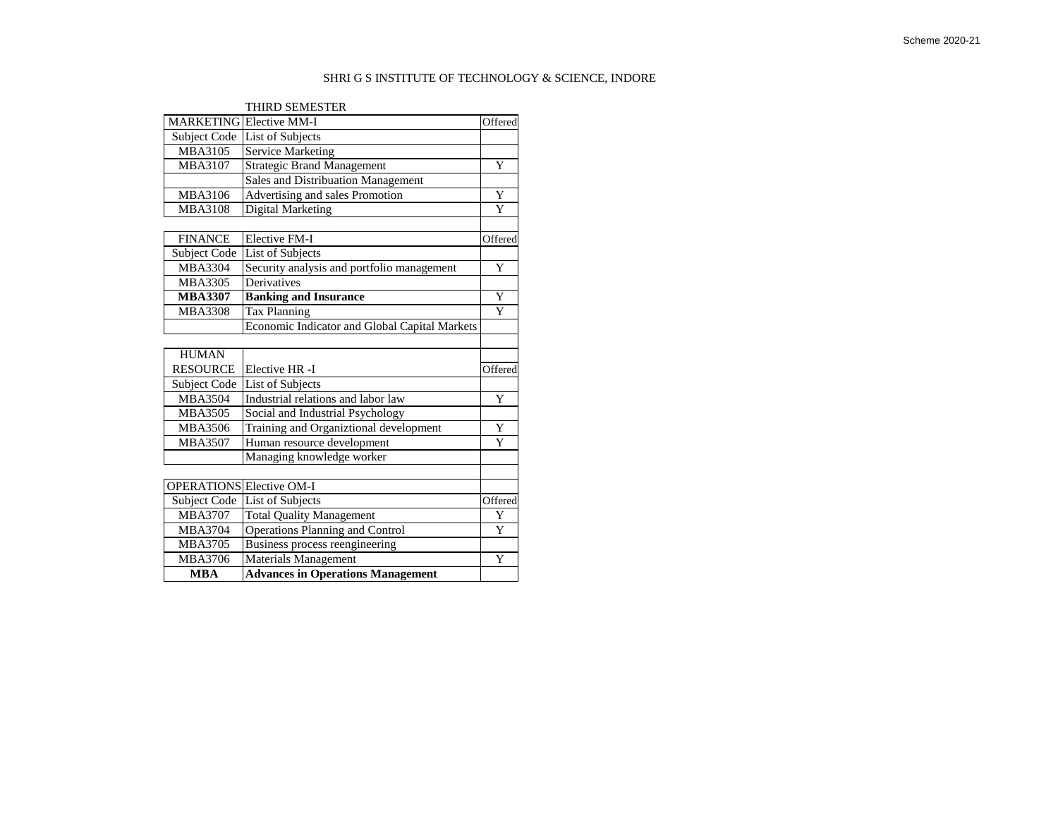## SHRI G S INSTITUTE OF TECHNOLOGY & SCIENCE, INDORE

|                          | <b>THIRD SEMESTER</b>                         |         |
|--------------------------|-----------------------------------------------|---------|
|                          | <b>MARKETING</b> Elective MM-I                | Offered |
| Subject Code             | List of Subjects                              |         |
| <b>MBA3105</b>           | <b>Service Marketing</b>                      |         |
| MBA3107                  | <b>Strategic Brand Management</b>             | Y       |
|                          | Sales and Distribuation Management            |         |
| MBA3106                  | Advertising and sales Promotion               | Y       |
| <b>MBA3108</b>           | <b>Digital Marketing</b>                      | Y       |
|                          |                                               |         |
| <b>FINANCE</b>           | <b>Elective FM-I</b>                          | Offered |
| Subject Code             | List of Subjects                              |         |
| <b>MBA3304</b>           | Security analysis and portfolio management    | Y       |
| <b>MBA3305</b>           | Derivatives                                   |         |
| <b>MBA3307</b>           | <b>Banking and Insurance</b>                  | Y       |
| <b>MBA3308</b>           | Tax Planning                                  | Y       |
|                          | Economic Indicator and Global Capital Markets |         |
|                          |                                               |         |
| <b>HUMAN</b>             |                                               |         |
| <b>RESOURCE</b>          | Elective HR-I                                 | Offered |
| Subject Code             | List of Subjects                              |         |
| <b>MBA3504</b>           | Industrial relations and labor law            | Y       |
| <b>MBA3505</b>           | Social and Industrial Psychology              |         |
| <b>MBA3506</b>           | Training and Organiztional development        | Y       |
| <b>MBA3507</b>           | Human resource development                    | Ÿ       |
|                          | Managing knowledge worker                     |         |
|                          |                                               |         |
| OPERATIONS Elective OM-I |                                               |         |
| Subject Code             | List of Subjects                              | Offered |
| <b>MBA3707</b>           | <b>Total Quality Management</b>               | Y       |
| <b>MBA3704</b>           | <b>Operations Planning and Control</b>        | Y       |
| <b>MBA3705</b>           | <b>Business process reengineering</b>         |         |
| MBA3706                  | Materials Management                          | Y       |
| <b>MBA</b>               | <b>Advances in Operations Management</b>      |         |